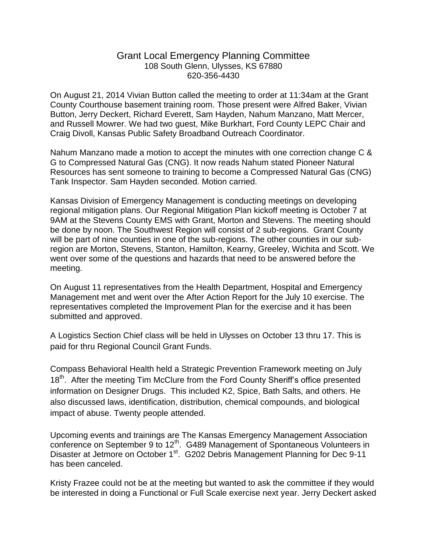## Grant Local Emergency Planning Committee 108 South Glenn, Ulysses, KS 67880 620-356-4430

On August 21, 2014 Vivian Button called the meeting to order at 11:34am at the Grant County Courthouse basement training room. Those present were Alfred Baker, Vivian Button, Jerry Deckert, Richard Everett, Sam Hayden, Nahum Manzano, Matt Mercer, and Russell Mowrer. We had two guest, Mike Burkhart, Ford County LEPC Chair and Craig Divoll, Kansas Public Safety Broadband Outreach Coordinator.

Nahum Manzano made a motion to accept the minutes with one correction change C & G to Compressed Natural Gas (CNG). It now reads Nahum stated Pioneer Natural Resources has sent someone to training to become a Compressed Natural Gas (CNG) Tank Inspector. Sam Hayden seconded. Motion carried.

Kansas Division of Emergency Management is conducting meetings on developing regional mitigation plans. Our Regional Mitigation Plan kickoff meeting is October 7 at 9AM at the Stevens County EMS with Grant, Morton and Stevens. The meeting should be done by noon. The Southwest Region will consist of 2 sub-regions. Grant County will be part of nine counties in one of the sub-regions. The other counties in our subregion are Morton, Stevens, Stanton, Hamilton, Kearny, Greeley, Wichita and Scott. We went over some of the questions and hazards that need to be answered before the meeting.

On August 11 representatives from the Health Department, Hospital and Emergency Management met and went over the After Action Report for the July 10 exercise. The representatives completed the Improvement Plan for the exercise and it has been submitted and approved.

A Logistics Section Chief class will be held in Ulysses on October 13 thru 17. This is paid for thru Regional Council Grant Funds.

Compass Behavioral Health held a Strategic Prevention Framework meeting on July 18<sup>th</sup>. After the meeting Tim McClure from the Ford County Sheriff's office presented information on Designer Drugs. This included K2, Spice, Bath Salts, and others. He also discussed laws, identification, distribution, chemical compounds, and biological impact of abuse. Twenty people attended.

Upcoming events and trainings are The Kansas Emergency Management Association conference on September 9 to 12<sup>th</sup>. G489 Management of Spontaneous Volunteers in Disaster at Jetmore on October 1<sup>st</sup>. G202 Debris Management Planning for Dec 9-11 has been canceled.

Kristy Frazee could not be at the meeting but wanted to ask the committee if they would be interested in doing a Functional or Full Scale exercise next year. Jerry Deckert asked